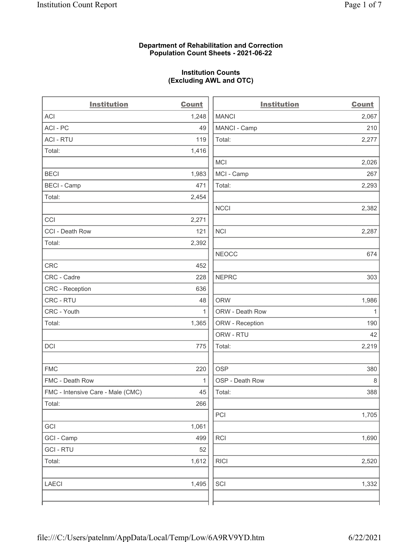#### Department of Rehabilitation and Correction Population Count Sheets - 2021-06-22

#### Institution Counts (Excluding AWL and OTC)

| <b>Institution</b>                | <b>Count</b> | <b>Institution</b> | <b>Count</b> |
|-----------------------------------|--------------|--------------------|--------------|
| <b>ACI</b>                        | 1,248        | <b>MANCI</b>       | 2,067        |
| ACI-PC                            | 49           | MANCI - Camp       | 210          |
| <b>ACI - RTU</b>                  | 119          | Total:             | 2,277        |
| Total:                            | 1,416        |                    |              |
|                                   |              | <b>MCI</b>         | 2,026        |
| <b>BECI</b>                       | 1,983        | MCI - Camp         | 267          |
| <b>BECI - Camp</b>                | 471          | Total:             | 2,293        |
| Total:                            | 2,454        |                    |              |
|                                   |              | <b>NCCI</b>        | 2,382        |
| CCI                               | 2,271        |                    |              |
| CCI - Death Row                   | 121          | NCI                | 2,287        |
| Total:                            | 2,392        |                    |              |
|                                   |              | <b>NEOCC</b>       | 674          |
| CRC                               | 452          |                    |              |
| CRC - Cadre                       | 228          | <b>NEPRC</b>       | 303          |
| CRC - Reception                   | 636          |                    |              |
| CRC - RTU                         | 48           | <b>ORW</b>         | 1,986        |
| CRC - Youth                       | 1            | ORW - Death Row    | 1            |
| Total:                            | 1,365        | ORW - Reception    | 190          |
|                                   |              | ORW - RTU          | 42           |
| DCI                               | 775          | Total:             | 2,219        |
|                                   |              |                    |              |
| <b>FMC</b>                        | 220          | <b>OSP</b>         | 380          |
| FMC - Death Row                   | $\mathbf{1}$ | OSP - Death Row    | $\,8\,$      |
| FMC - Intensive Care - Male (CMC) | 45           | Total:             | 388          |
| Total:                            | 266          |                    |              |
|                                   |              | PCI                | 1,705        |
| GCI                               | 1,061        |                    |              |
| GCI - Camp                        | 499          | RCI                | 1,690        |
| <b>GCI-RTU</b>                    | 52           |                    |              |
| Total:                            | 1,612        | <b>RICI</b>        | 2,520        |
|                                   |              |                    |              |
| <b>LAECI</b>                      | 1,495        | SCI                | 1,332        |
|                                   |              |                    |              |
|                                   |              |                    |              |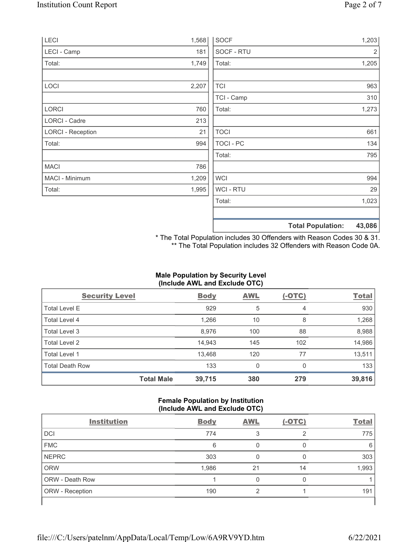| LECI                     | 1,568 | <b>SOCF</b>      | 1,203                              |     |
|--------------------------|-------|------------------|------------------------------------|-----|
| LECI - Camp              | 181   | SOCF - RTU       |                                    | 2   |
| Total:                   | 1,749 | Total:           | 1,205                              |     |
|                          |       |                  |                                    |     |
| LOCI                     | 2,207 | <b>TCI</b>       |                                    | 963 |
|                          |       | TCI - Camp       |                                    | 310 |
| LORCI                    | 760   | Total:           | 1,273                              |     |
| LORCI - Cadre            | 213   |                  |                                    |     |
| <b>LORCI - Reception</b> | 21    | <b>TOCI</b>      |                                    | 661 |
| Total:                   | 994   | <b>TOCI - PC</b> |                                    | 134 |
|                          |       | Total:           |                                    | 795 |
| <b>MACI</b>              | 786   |                  |                                    |     |
| MACI - Minimum           | 1,209 | <b>WCI</b>       |                                    | 994 |
| Total:                   | 1,995 | <b>WCI-RTU</b>   |                                    | 29  |
|                          |       | Total:           | 1,023                              |     |
|                          |       |                  |                                    |     |
|                          |       |                  | 43,086<br><b>Total Population:</b> |     |

\* The Total Population includes 30 Offenders with Reason Codes 30 & 31. \*\* The Total Population includes 32 Offenders with Reason Code 0A.

## Male Population by Security Level (Include AWL and Exclude OTC)

| <b>Security Level</b>  |                   | <b>Body</b> | <b>AWL</b> | $(-OTC)$ | <b>Total</b> |
|------------------------|-------------------|-------------|------------|----------|--------------|
| <b>Total Level E</b>   |                   | 929         | 5          | 4        | 930          |
| Total Level 4          |                   | 1,266       | 10         | 8        | 1,268        |
| Total Level 3          |                   | 8,976       | 100        | 88       | 8,988        |
| Total Level 2          |                   | 14,943      | 145        | 102      | 14,986       |
| Total Level 1          |                   | 13,468      | 120        | 77       | 13,511       |
| <b>Total Death Row</b> |                   | 133         | 0          | $\Omega$ | 133          |
|                        | <b>Total Male</b> | 39,715      | 380        | 279      | 39,816       |

#### Female Population by Institution (Include AWL and Exclude OTC)

| <b>Institution</b> | <b>Body</b> | <b>AWL</b> | $(-OTC)$ | <b>Total</b> |
|--------------------|-------------|------------|----------|--------------|
| <b>DCI</b>         | 774         |            | ⌒        | 775          |
| <b>FMC</b>         | 6           |            |          | 6            |
| <b>NEPRC</b>       | 303         |            |          | 303          |
| <b>ORW</b>         | 1,986       | 21         | 14       | 1,993        |
| ORW - Death Row    |             |            |          |              |
| ORW - Reception    | 190         |            |          | 191          |
|                    |             |            |          |              |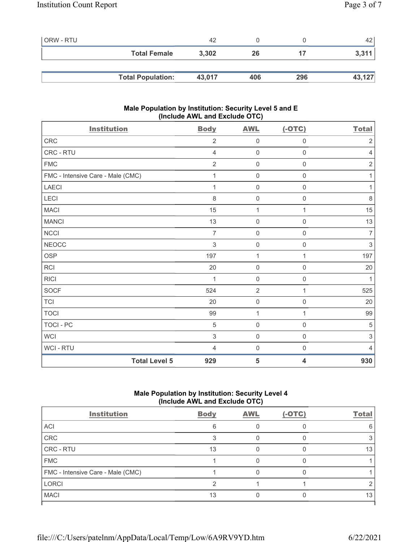| <b>ORW - RTU</b> |                          | 42     |     |     | 42     |
|------------------|--------------------------|--------|-----|-----|--------|
|                  | <b>Total Female</b>      | 3,302  | 26  |     | 3,311  |
|                  |                          |        |     |     |        |
|                  | <b>Total Population:</b> | 43,017 | 406 | 296 | 43,127 |

#### Male Population by Institution: Security Level 5 and E (Include AWL and Exclude OTC)

| <b>Institution</b>                | <b>Body</b>    | <b>AWL</b>   | $(-OTC)$            | <b>Total</b>              |
|-----------------------------------|----------------|--------------|---------------------|---------------------------|
| CRC                               | $\overline{2}$ | $\mathbf 0$  | $\mathsf{O}\xspace$ | $\sqrt{2}$                |
| CRC - RTU                         | 4              | $\mathbf 0$  | $\mathsf{O}\xspace$ | $\sqrt{4}$                |
| <b>FMC</b>                        | $\overline{2}$ | $\mathbf 0$  | $\mathsf{O}\xspace$ | $\sqrt{2}$                |
| FMC - Intensive Care - Male (CMC) | 1              | $\mathsf 0$  | $\mathbf 0$         | 1                         |
| LAECI                             | 1              | $\mathbf 0$  | $\mathsf{O}\xspace$ | 1                         |
| LECI                              | 8              | $\mathbf 0$  | 0                   | $\,8\,$                   |
| <b>MACI</b>                       | 15             | $\mathbf{1}$ | 1                   | 15                        |
| <b>MANCI</b>                      | 13             | $\mathbf 0$  | $\mathbf 0$         | 13                        |
| <b>NCCI</b>                       | $\overline{7}$ | $\mathsf 0$  | $\mathsf 0$         | $\overline{7}$            |
| <b>NEOCC</b>                      | $\,$ 3 $\,$    | $\mathbf 0$  | 0                   | $\sqrt{3}$                |
| <b>OSP</b>                        | 197            | $\mathbf{1}$ | 1                   | 197                       |
| <b>RCI</b>                        | 20             | $\mathbf 0$  | $\mathbf 0$         | 20                        |
| <b>RICI</b>                       | 1              | $\mathbf 0$  | $\mathsf{O}\xspace$ | $\mathbf{1}$              |
| <b>SOCF</b>                       | 524            | $\sqrt{2}$   | 1                   | 525                       |
| <b>TCI</b>                        | 20             | $\mathbf 0$  | $\mathbf 0$         | 20                        |
| <b>TOCI</b>                       | 99             | $\mathbf{1}$ | 1                   | 99                        |
| TOCI - PC                         | $\sqrt{5}$     | $\mathbf 0$  | $\mathsf{O}\xspace$ | $\sqrt{5}$                |
| <b>WCI</b>                        | $\sqrt{3}$     | $\mathbf 0$  | $\mathsf{O}\xspace$ | $\ensuremath{\mathsf{3}}$ |
| WCI - RTU                         | 4              | $\mathbf 0$  | $\mathsf{O}\xspace$ | $\overline{4}$            |
| <b>Total Level 5</b>              | 929            | 5            | 4                   | 930                       |

# Male Population by Institution: Security Level 4 (Include AWL and Exclude OTC)

| <b>Body</b> | <b>AWL</b> | $(-OTC)$ | <b>Total</b> |
|-------------|------------|----------|--------------|
| 6           |            |          |              |
|             |            |          |              |
| 13          |            |          | 13           |
|             |            |          |              |
|             |            |          |              |
|             |            |          |              |
| 13          |            |          | 13           |
|             |            |          |              |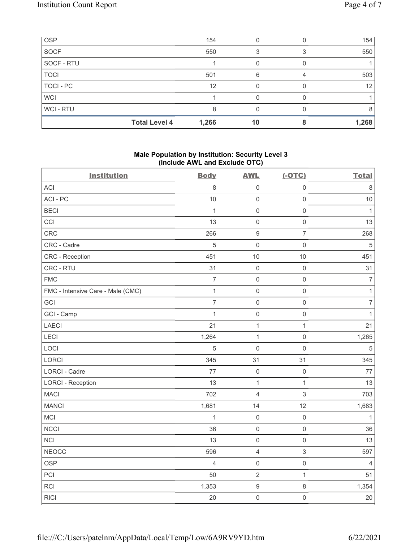| <b>OSP</b>  |                      | 154   |    | 154   |
|-------------|----------------------|-------|----|-------|
| <b>SOCF</b> |                      | 550   |    | 550   |
| SOCF - RTU  |                      |       |    |       |
| <b>TOCI</b> |                      | 501   | 6  | 503   |
| TOCI - PC   |                      | 12    |    | 12    |
| <b>WCI</b>  |                      |       |    |       |
| WCI-RTU     |                      | 8     |    | 8     |
|             | <b>Total Level 4</b> | 1,266 | 10 | 1,268 |

## Male Population by Institution: Security Level 3 (Include AWL and Exclude OTC)

| <b>Institution</b>                | <b>Body</b>    | <b>AWL</b>       | $(-OTC)$            | <b>Total</b>     |
|-----------------------------------|----------------|------------------|---------------------|------------------|
| <b>ACI</b>                        | 8              | $\mathbf 0$      | $\mathsf 0$         | $\,8\,$          |
| ACI-PC                            | 10             | $\mathbf 0$      | $\mathsf{O}\xspace$ | 10               |
| <b>BECI</b>                       | $\mathbf{1}$   | $\mathbf 0$      | $\mathsf 0$         | $\mathbf{1}$     |
| CCI                               | 13             | $\mathbf 0$      | $\mathsf{O}\xspace$ | 13               |
| CRC                               | 266            | $\boldsymbol{9}$ | $\overline{7}$      | 268              |
| CRC - Cadre                       | 5              | $\mathbf 0$      | $\mathsf 0$         | $\sqrt{5}$       |
| <b>CRC</b> - Reception            | 451            | 10               | $10$                | 451              |
| CRC - RTU                         | 31             | $\mathbf 0$      | $\mathsf 0$         | 31               |
| <b>FMC</b>                        | $\overline{7}$ | $\mathbf 0$      | $\mathsf 0$         | $\boldsymbol{7}$ |
| FMC - Intensive Care - Male (CMC) | $\mathbf{1}$   | $\mathbf 0$      | $\mathsf{O}\xspace$ | $\mathbf{1}$     |
| GCI                               | $\overline{7}$ | $\mathbf 0$      | $\mathsf{O}\xspace$ | $\boldsymbol{7}$ |
| GCI - Camp                        | $\mathbf{1}$   | $\mathbf 0$      | $\mathsf{O}\xspace$ | $\mathbf{1}$     |
| LAECI                             | 21             | 1                | $\mathbf{1}$        | 21               |
| LECI                              | 1,264          | $\mathbf{1}$     | $\mathsf 0$         | 1,265            |
| LOCI                              | 5              | $\mathbf 0$      | $\mathsf{O}\xspace$ | $\,$ 5 $\,$      |
| LORCI                             | 345            | 31               | 31                  | 345              |
| LORCI - Cadre                     | 77             | $\mathbf 0$      | $\mathsf 0$         | $77\,$           |
| <b>LORCI - Reception</b>          | 13             | $\mathbf{1}$     | $\mathbf{1}$        | 13               |
| <b>MACI</b>                       | 702            | $\overline{4}$   | $\,$ 3 $\,$         | 703              |
| <b>MANCI</b>                      | 1,681          | 14               | 12                  | 1,683            |
| MCI                               | 1              | $\mathbf 0$      | $\mathsf{O}\xspace$ | 1                |
| <b>NCCI</b>                       | 36             | $\mathbf 0$      | $\mathsf{O}\xspace$ | 36               |
| NCI                               | 13             | $\mathbf 0$      | $\mathsf{O}\xspace$ | 13               |
| <b>NEOCC</b>                      | 596            | $\overline{4}$   | $\sqrt{3}$          | 597              |
| <b>OSP</b>                        | 4              | $\mathbf 0$      | $\mathsf 0$         | $\overline{4}$   |
| PCI                               | 50             | $\overline{2}$   | $\mathbf{1}$        | 51               |
| RCI                               | 1,353          | $\boldsymbol{9}$ | $\,8\,$             | 1,354            |
| <b>RICI</b>                       | 20             | $\mathbf 0$      | $\mathsf{O}\xspace$ | 20               |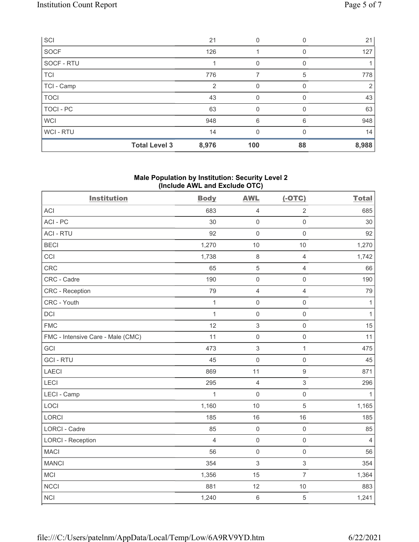| SCI         |                      | 21    | 0        |                  | 21    |
|-------------|----------------------|-------|----------|------------------|-------|
| SOCF        |                      | 126   |          | O                | 127   |
| SOCF - RTU  |                      |       | 0        | $\left( \right)$ |       |
| <b>TCI</b>  |                      | 776   | 7        | 5                | 778   |
| TCI - Camp  |                      | 2     | 0        | O                | 2     |
| <b>TOCI</b> |                      | 43    | 0        | <sup>0</sup>     | 43    |
| TOCI - PC   |                      | 63    | 0        |                  | 63    |
| <b>WCI</b>  |                      | 948   | 6        | 6                | 948   |
| WCI - RTU   |                      | 14    | $\Omega$ | <sup>0</sup>     | 14    |
|             | <b>Total Level 3</b> | 8,976 | 100      | 88               | 8,988 |

#### Male Population by Institution: Security Level 2 (Include AWL and Exclude OTC)

| <b>Institution</b>                | <b>Body</b>    | <b>AWL</b>          | $(-OTC)$            | <b>Total</b>   |
|-----------------------------------|----------------|---------------------|---------------------|----------------|
| <b>ACI</b>                        | 683            | $\overline{4}$      | $\overline{2}$      | 685            |
| ACI-PC                            | 30             | $\mathbf 0$         | $\mathsf{O}\xspace$ | 30             |
| <b>ACI - RTU</b>                  | 92             | $\mathbf 0$         | $\mathsf{O}\xspace$ | 92             |
| <b>BECI</b>                       | 1,270          | 10                  | 10                  | 1,270          |
| CCI                               | 1,738          | $\,8\,$             | $\overline{4}$      | 1,742          |
| CRC                               | 65             | 5                   | $\overline{4}$      | 66             |
| CRC - Cadre                       | 190            | $\mathsf{O}\xspace$ | $\mathsf 0$         | 190            |
| CRC - Reception                   | 79             | $\overline{4}$      | $\overline{4}$      | 79             |
| CRC - Youth                       | $\mathbf{1}$   | $\mathsf{O}\xspace$ | $\mathsf 0$         | $\mathbf{1}$   |
| DCI                               | $\mathbf{1}$   | $\mathsf{O}\xspace$ | $\mathsf{O}\xspace$ | $\mathbf{1}$   |
| <b>FMC</b>                        | 12             | $\mathbf{3}$        | $\mathsf 0$         | 15             |
| FMC - Intensive Care - Male (CMC) | 11             | $\mathbf 0$         | $\mathsf 0$         | 11             |
| GCI                               | 473            | $\mathbf{3}$        | $\mathbf 1$         | 475            |
| <b>GCI-RTU</b>                    | 45             | $\mathbf 0$         | $\mathsf 0$         | 45             |
| LAECI                             | 869            | 11                  | $\boldsymbol{9}$    | 871            |
| LECI                              | 295            | $\overline{4}$      | $\sqrt{3}$          | 296            |
| LECI - Camp                       | $\mathbf{1}$   | $\mathbf 0$         | $\mathsf 0$         | $\mathbf{1}$   |
| LOCI                              | 1,160          | 10                  | 5                   | 1,165          |
| <b>LORCI</b>                      | 185            | 16                  | 16                  | 185            |
| LORCI - Cadre                     | 85             | $\mathbf 0$         | $\mathsf 0$         | 85             |
| <b>LORCI - Reception</b>          | $\overline{4}$ | $\mathsf{O}\xspace$ | $\mathsf{O}\xspace$ | $\overline{4}$ |
| <b>MACI</b>                       | 56             | $\mathbf 0$         | $\mathsf 0$         | 56             |
| <b>MANCI</b>                      | 354            | 3                   | $\sqrt{3}$          | 354            |
| MCI                               | 1,356          | 15                  | $\overline{7}$      | 1,364          |
| <b>NCCI</b>                       | 881            | 12                  | $10$                | 883            |
| <b>NCI</b>                        | 1,240          | $\,6\,$             | $\sqrt{5}$          | 1,241          |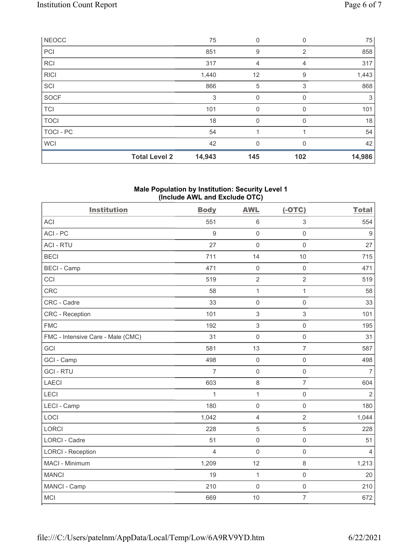|              | <b>Total Level 2</b> | 14,943 | 145         | 102            | 14,986 |
|--------------|----------------------|--------|-------------|----------------|--------|
| <b>WCI</b>   |                      | 42     | $\mathbf 0$ | $\Omega$       | 42     |
| TOCI - PC    |                      | 54     | и           |                | 54     |
| <b>TOCI</b>  |                      | 18     | $\mathbf 0$ | 0              | 18     |
| <b>TCI</b>   |                      | 101    | $\mathbf 0$ | $\Omega$       | 101    |
| <b>SOCF</b>  |                      | 3      | $\mathbf 0$ | $\mathbf 0$    | 3      |
| SCI          |                      | 866    | 5           | 3              | 868    |
| <b>RICI</b>  |                      | 1,440  | 12          | 9              | 1,443  |
| <b>RCI</b>   |                      | 317    | 4           | 4              | 317    |
| PCI          |                      | 851    | 9           | $\overline{2}$ | 858    |
| <b>NEOCC</b> |                      | 75     | $\mathbf 0$ | $\Omega$       | 75     |

### Male Population by Institution: Security Level 1 (Include AWL and Exclude OTC)

| <b>Institution</b>                | <b>Body</b>      | <b>AWL</b>          | $(-OTC)$            | <b>Total</b>   |
|-----------------------------------|------------------|---------------------|---------------------|----------------|
| <b>ACI</b>                        | 551              | $\,6\,$             | $\sqrt{3}$          | 554            |
| ACI-PC                            | $\boldsymbol{9}$ | $\mathbf 0$         | $\mathbf 0$         | $9\,$          |
| <b>ACI - RTU</b>                  | 27               | $\mathbf 0$         | $\mathsf 0$         | 27             |
| <b>BECI</b>                       | 711              | 14                  | $10$                | 715            |
| <b>BECI - Camp</b>                | 471              | $\mathsf{O}\xspace$ | $\mathsf 0$         | 471            |
| CCI                               | 519              | $\sqrt{2}$          | $\overline{2}$      | 519            |
| CRC                               | 58               | $\mathbf{1}$        | $\mathbf{1}$        | 58             |
| CRC - Cadre                       | 33               | $\mathbf 0$         | $\mathbf 0$         | 33             |
| CRC - Reception                   | 101              | $\,$ 3 $\,$         | $\sqrt{3}$          | 101            |
| <b>FMC</b>                        | 192              | 3                   | $\mathsf 0$         | 195            |
| FMC - Intensive Care - Male (CMC) | 31               | $\mathsf{O}\xspace$ | $\mathsf 0$         | 31             |
| GCI                               | 581              | 13                  | $\overline{7}$      | 587            |
| GCI - Camp                        | 498              | $\mathsf{O}\xspace$ | $\mathsf 0$         | 498            |
| <b>GCI-RTU</b>                    | $\overline{7}$   | $\mathbf 0$         | $\mathsf{O}\xspace$ | $\overline{7}$ |
| <b>LAECI</b>                      | 603              | 8                   | $\overline{7}$      | 604            |
| LECI                              | $\mathbf{1}$     | $\mathbf{1}$        | $\mathsf 0$         | $\overline{2}$ |
| <b>LECI - Camp</b>                | 180              | $\mathbf 0$         | $\mathsf{O}\xspace$ | 180            |
| LOCI                              | 1,042            | $\overline{4}$      | $\overline{2}$      | 1,044          |
| <b>LORCI</b>                      | 228              | $\overline{5}$      | $\sqrt{5}$          | 228            |
| <b>LORCI - Cadre</b>              | 51               | $\mathbf 0$         | $\mathsf 0$         | 51             |
| <b>LORCI - Reception</b>          | $\overline{4}$   | $\mathbf 0$         | $\mathsf{O}\xspace$ | $\overline{4}$ |
| MACI - Minimum                    | 1,209            | 12                  | $\,8\,$             | 1,213          |
| <b>MANCI</b>                      | 19               | $\mathbf{1}$        | $\mathsf{O}\xspace$ | 20             |
| MANCI - Camp                      | 210              | $\mathbf 0$         | $\mathbf 0$         | 210            |
| <b>MCI</b>                        | 669              | 10                  | $\overline{7}$      | 672            |